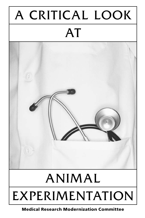# A CRITICAL LOOK AT

# ANIMAL EXPERIMENTATION

**Medical Research Modernization Committee**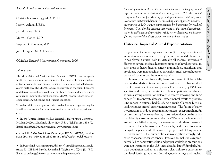1

*A Critical Look at Animal Experimentation*

Christopher Anderegg, M.D., Ph.D.

Kathy Archibald, B.Sc.

Jarrod Bailey, Ph.D.

Murry J. Cohen, M.D.

Stephen R. Kaufman, M.D.

John J. Pippin, M.D., F.A.C.C.

*© Medical Research Modernization Committee, 2006*

#### *Information:*

The *Medical Research Modernization Committee (MRMC)* is a non-profit health advocacy organization composed of medical professionals and scientists who identify and promote efficient, reliable and cost-effective research methods. The MRMC focuses exclusively on the scientific merits of different research approaches, even though some undoubtedly raise serious and important ethical concerns. MRMC-sponsored activities include research, publishing and student education.

To order additional copies of this booklet free of charge, for regular Email reports and/or for more information about animal experiments, contact:

• In the United States: *Medical Research Modernization Committee*, P.O. Box 201791, Cleveland, Ohio 44120, U.S.A., Tel./Fax 216-283-6702, Email: stkaufman@mindspring.com, www.mrmcmed.org

# • In the UK: Safer Medicines Campaign, PO Box 62720, London SW2 9FQ Tel: 020 8265 2880 Email: info@safermedicines.org

• In Switzerland: *Association for the Abolition of Animal Experiments*, Ostbuhlstrasse 32, CH-8038 Zurich, Switzerland, Tel./Fax +41 (0)44 482 73 52, Email: ch.anderegg@freesurf.ch, www.animalexperiments.ch

*Increasing numbers of scientists and clinicians are challenging animal experimentation on medical and scientific grounds.1-3 In the United Kingdom, for example, 82% of general practitioners said they were «concerned that animal data can be misleading when applied to humans», according to a 2004 survey commissioned by Europeans for Medical Progress.4 Considerable evidence demonstrates that animal experimentation is inefficient and unreliable, while newly developed methodologies are more valid and less expensive than animal studies.*

# **Historical Impact of Animal Experimentation**

Proponents of animal experimentation (tests, experiments and «educational» exercises involving harm to animals) claim that it has played a crucial role in virtually all medical advances.<sup>5,6</sup> However, several medical historians argue that key discoveries in such areas as heart disease, cancer, immunology, anesthesia and psychiatry were in fact achieved through clinical research, observation of patients and human autopsy.<sup>7-16</sup>

Human data has historically been interpreted in light of laboratory data derived from nonhuman animals. This has resulted in unfortunate medical consequences. For instance, by 1963 prospective and retrospective studies of human patients had already shown a strong correlation between cigarette smoking and lung cancer.17,18 In contrast, almost all experimental efforts to produce lung cancer in animals had failed. As a result, Clarence Little, a leading cancer animal experimenter, wrote: «The failure of many investigators to induce experimental cancers, except in a handful of cases, during fifty years of trying, casts serious doubt on the validity of the cigarette-lung cancer theory.»19 Because the human and animal data failed to agree, this researcher and others distrusted the more reliable human data. As a result, health warnings were delayed for years, while thousands of people died of lung cancer.

By the early 1940s, human clinical investigation strongly indicated that asbestos causes cancer. However, animal studies repeatedly failed to demonstrate this, and proper workplace precautions were not instituted in the U.S. until decades later.<sup>20</sup> Similarly, human population studies have shown a clear risk from exposure to low-level ionizing radiation from diagnostic X-rays and nuclear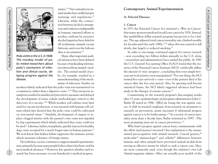$(3)$ 



*Medical Research Modernization Committee*

Medical Research Modernization Committee

2

*Polio victim in the U.S. in 1948. The monkey model of polio misled researchers about polio's mechanism of infection and clinical course, delaying progress against the disease.*

wastes,21-24 but contradictory animal studies have stalled proper warnings and regulations.<sup>25</sup> Likewise, while the connection between alcohol consumption and cirrhosis is indisputable in humans, repeated efforts to produce cirrhosis by excessive alcohol ingestion have failed in all nonhuman animals except baboons, and even the baboon data is inconsistent.<sup>26</sup>

Many other important medical advances have been delayed because of misleading information derived from animal «models». The animal model of polio, for example, resulted in a misunderstanding of the mechanism of infection. Studies on

monkeys falsely indicated that the polio virus was transmitted via a respiratory, rather than a digestive route.27,28 This erroneous assumption resulted in misdirected preventive measures and delayed the development of tissue culture methodologies critical to the discovery of a vaccine.<sup>29,30</sup> While monkey cell cultures were later used for vaccine production, it was research with human cell cultures which first showed that the polio virus could be cultivated on non-neural tissue.<sup>31</sup> Similarly, development of surgery to replace clogged arteries with the patient's own veins was impeded by dog experiments which falsely indicated that veins could not be used.32 Likewise, kidney transplants, quickly rejected in healthy dogs, were accepted for a much longer time in human patients.<sup>33</sup> We now know that kidney failure suppresses the immune system. which increases tolerance of foreign tissues.

Nevertheless, society continues to support animal experimentation, primarily because many people believe that it has been vital for most medical advances.34 However, few question whether such research has been necessary or even beneficial to medical progress.

# **Contemporary Animal Experimentation**

#### **A. Selected Diseases**

#### **1. Cancer**

In 1971 the National Cancer Act initiated a «War on Cancer» that many sponsors predicted would cure cancer by 1976. Instead, this multibillion dollar research program has proven to be a failure. The age-adjusted total cancer mortality rate climbed steadily for decades until the early 1990s,<sup>35,36</sup> when this rate started to fall slowly, due largely to reduced smoking.<sup>37</sup>

In order to encourage continued support for cancer research – now exceeding two billion dollars annually in the U.S. alone – researchers and administrators have misled the public. In 1987 the U.S. General Accounting Office (GAO) found that the statistics of the National Cancer Institute (NCI) «artificially inflate the amount of ‹true› progress», concluding that even simple fiveyear survival statistics were manipulated.38 For one thing, the NCI termed five-year survival a «cure» even if the patient died of the cancer after the five-year period. Also, by ignoring well known statistical biases, the NCI falsely suggested advances had been made in the therapy of certain cancers.<sup>38</sup>

Commenting on the research program's discouraging results after 15 years, epidemiologist and program administrator John C. Bailar III stated in 1986: «[We] are losing the war against cancer. A shift in research emphasis, from research on treatment to research on prevention, seems necessary if substantial progress against cancer is to be forthcoming.»39 In a review of cancer mortality more than a decade later, Bailar reiterated in 1997: «The more promising areas are in cancer prevention.»<sup>35</sup>

Why hasn't progress against cancer been commensurate with the effort (and money) invested? One explanation is the unwarranted preoccupation with animal research. Crucial genetic,<sup>40</sup> molecular, $41$  immunologic $42$  and cellular $43$  differences between humans and other animals have prevented animal models from serving as effective means by which to seek a cancer cure. Mice are most commonly used, even though the industry's own *Lab Animal* magazine admits: «Mice are actually poor models of the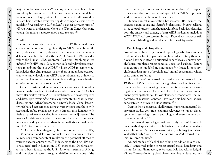majority of human cancers.»44 Leading cancer researcher Robert Weinberg has commented: «The preclinical [animal] models of human cancer, in large part, stink… Hundreds of millions of dollars are being wasted every year by drug companies using these models.»45 According to Clifton Leaf, a cancer survivor himself: «If you want to understand where the War on Cancer has gone wrong, the mouse is a pretty good place to start.»<sup>45</sup>

# **2. AIDS**

Despite their extensive use since the early 1980s, animal models have not contributed significantly to AIDS research. While mice, rabbits and monkeys born with severe combined immunodeficiency can be infected with the AIDS Virus (HIV), none develops the human AIDS syndrome.<sup>46</sup> Of over 150 chimpanzees infected with HIV since 1984, only one allegedly developed symptoms resembling those of AIDS.<sup>47,48</sup> Even AIDS researchers acknowledge that chimpanzees, as members of an endangered species who rarely develop an AIDS-like syndrome, are unlikely to prove useful as animal models for understanding the mechanism of infection or means of treatment.49

Other virus-induced immunodeficiency syndromes in nonhuman animals have been touted as valuable models of AIDS, but they differ markedly from AIDS in viral structure, disease symptoms and disease progression.50 Animal experimenter Michael Wyand, discussing anti-AIDS therapy, has acknowledged: «Candidate antivirals have been screened using *in vitro* systems and those with acceptable safety profiles have gone directly into humans with little supportive efficacy data in any *in vivo* [animal] system. The reasons for this are complex but certainly include … the persistent view held by many that there is no predictive animal model for HIV infection in humans. $v^{51}$ All the procedure of original produced internal produced internal produced into a series of original produced no function of the sole of original produced no function of the sole of the sole of the sole of the sole of the

AIDS researcher Margaret Johnston has concurred: «HIV/ AIDS [animal] models have not yielded a clear correlate of immunity nor given consistent results on the potential efficacy of various vaccine approaches.»<sup>52</sup> Indeed, since the first HIV vaccine clinical trial in humans in 1987, more than 100 clinical trials have been funded by the U.S. National Institute of Allergy and Infectious Diseases through mid-2006. Yet every one of the more than 50 preventive vaccines and more than 30 therapeutic vaccines that were successful against HIV/AIDS in primate studies has failed in human clinical trials.<sup>53</sup>

Human clinical investigation has isolated HIV, defined the disease's natural course and identified risk factors.54 *In vitro* (cell and tissue culture) research using human white blood cells has identified both the efficacy and toxicity of anti-AIDS medicines, including AZT,<sup>55</sup> 3TC<sup>56</sup> and protease inhibitors.<sup>57</sup> Federal law, however, still mandates misleading and unreliable animal toxicity testing.

#### **3. Psychology and Drug Abuse**

Animal «models» in experimental psychology, which researchers traditionally subject to painful stimuli in order to study their behavior, have been strongly criticized in part because human psychological problems reflect familial, social and cultural factors that cannot be modeled in nonhumans.58-63 Indeed, most psychologists disapprove of psychological animal experiments which cause animal suffering.64

Harry Harlow's «maternal deprivation» experiments in the 1950s and 1960s involved separating infant monkeys from their mothers at birth and rearing them in total isolation or with «surrogate» mothers made of wire and cloth. Their terror and subsequent psychopathology, Harlow claimed, demonstrated the importance of maternal contact. However, this had been shown conclusively in previous human studies.65-68

Despite their conceptual shallowness, numerous maternal deprivation studies continue, claiming relevance to human developmental psychology, psychopathology and even immune and hormone function.<sup>67-69</sup>

Experimental psychology continues to rely on painful research on animals, despite clinical psychologists' disregard for animal research literature. A review of two clinical psychology journals revealed that only 33 out of 4,425 citations (0.75%) referred to animal-research studies.70

Animal models of alcohol and other drug addictions are similarly ill-conceived, failing to reflect crucial social, hereditary and mental factors. Pharmacologist Vincent Dole has acknowledged: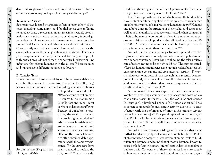damental insights into the causes of this self-destructive behavior or even a convincing analogue of pathological drinking.»<sup>71</sup>

#### **4. Genetic Diseases**

Scientists have located the genetic defects of many inherited diseases, including cystic fibrosis and familial breast cancer. Trying to «model» these diseases in animals, researchers widely use animals – mostly mice – with spontaneous or laboratory-induced genetic defects. However, genetic diseases reflect interactions between the defective gene and other genes and the environment. Consequently, nearly all such models have failed to reproduce the essential features of the analogous human conditions.72 For example, transgenic mice carrying the same defective gene as people with cystic fibrosis do not show the pancreatic blockages or lung infections that plague humans with the disease, $^{72}$  because mice and humans have different metabolic pathways.73 For a conserver person of person and probability conserver that all verse including the conserver in the conserver in the conserver in the conserver in the conserver in the conserver in the conserver in the conserver in t

#### **B. Toxicity Tests**

Numerous standard animal toxicity tests have been widely criticized by clinicians and toxicologists. The lethal dose 50 (LD50) test – which determines how much of a drug, chemical or house-



*Results of the LD50 test are highly unreliable.*

hold product is needed to kill 50% of a group of test animals – requires 60 to 100 animals (usually rats and mice), most of whom endure great suffering. Because of difficulties extrapolating the results to humans, the test is highly unreliable.74 Also, since such variables as an animal's age, sex, weight and strain can have a substantial effect on the results, laboratories often obtain widely disparate data with the same test substances.75,76 *In vitro* tests have been validated to replace the LD $_{50}$  test,<sup>76-78</sup> which was deleted from the test guidelines of the Organisation for Economic Cooperation and Development (OECD) in 2002.79

The Draize eye irritancy test, in which unanesthetized rabbits have irritant substances applied to their eyes, yields results that are inherently unreliable in predicting human toxicity.80 Humans and rabbits differ in the structure of their eyelids and corneas, as well as in their ability to produce tears. Indeed, when comparing rabbit to human data on duration of eye inflammation after exposure to 14 household products, they differed by a factor of 18 to 250.81 A battery of *in vitro* tests would be less expensive and likely far more accurate than the Draize test.<sup>75,82</sup>

Animal tests for cancer-causing substances, generally involving rodents, are also notoriously unreliable. When applied to human cancer causation, Lester Lave et al. found the false positive rate of rodent testing to be as high as 95%.<sup>83</sup> The authors stated: «Tests for human carcinogens using lifetime rodent bioassays are expensive, time-consuming and give uncertain results.» The tremendous economic costs of such research have recently been reported in a study which examined over 500 rodent carcinogenicity studies and concluded that rodent cancer assays are scientifically invalid and fiscally indefensible.84

A combination of *in vitro* tests provides data that compares favorably with existing carcinogenicity databases and costs far less than animal tests.<sup>85</sup> In the late 1980s, the U.S. National Cancer Institute (NCI) developed a panel of 59 human cancer cell lines to screen compounds for anti-cancer activity, due to its «dissatisfaction with the performance of prior *in vivo* primary screens [animal cancer assays].»<sup>86</sup> This panel replaced animal testing at the NCI in 1990, by which time the agency had also adopted a panel of about 100 human cell lines to screen compounds for carcinogenicity.87

Animal tests for teratogens (drugs and chemicals that cause birth defects) are equally misleading and unreliable. Jarrod Bailey et al. conducted a comprehensive review of animal tests of 1,396 different substances and found that of those substances known to cause birth defects in humans, animal tests indicated that almost half were safe. Conversely, of those substances known to be safe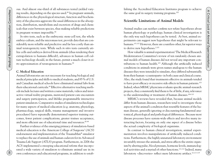ous. And almost one-third of all substances tested yielded varying results, depending on the species used.<sup>88</sup> In pregnant animals, differences in the physiological structure, function and biochemistry of the placenta aggravate the usual differences in the absorption, distribution, metabolism and excretion of drugs and chemicals that exist between species, thus making reliable predictions in pregnant women impossible.88

*In vitro* tests, such as the embryonic stem-cell test, the whole embryo culture, and the micromass test, provide data that are considerably more reliable and predictive and far less costly than animal teratogenicity tests. While such *in vitro* tests currently utilize cells and embryos derived from animals (thus rendering their extrapolation to humans difficult), advances in human cell culture technology should, in the future, permit a much closer *in vitro* approximation of teratogenesis in humans.<sup>88</sup>

#### **C. Medical Education**

*Medical Research Modernization Committee*

Animal laboratories are not necessary for teaching biological and medical principles and skills to medical students, and 85% of U.S. and Canadian medical schools have eliminated animal labs from their educational curricula.89 Effective alternative teaching methods include lectures and written course materials, videos and interactive virtual reality programs, mentored patient care encounters and surgery participation, and lifelike programmable interactive patient simulators. Comparative studies of simulation technologies for many aspects of medical education (e.g. anatomy, physiology, pharmacology, surgical skills, trauma management and invasive procedures) have repeatedly demonstrated superior training outcomes, fewer patient complications, greater trainee acceptance, and more efficient use of educational time and resources.<sup>90-99</sup> Laboratory ( $\alpha$  reflective state of the state of the state of the state of the state of the state of the state of the state of the state of the state of the state of the state of the state of the state of the state of th

Further evidence of the emerging primacy of simulation-based medical education is the American College of Surgeons' (ACS) endorsement and implementation of the TraumaMan® simulator to replace the use of animals and human cadavers for its Advanced Trauma Life Support (ATLS) program. Furthermore, in 2006 the ACS implemented a sweeping educational reform that incorporated a wide variety of simulators to eliminate animal use in its own conferences and educational programs, in addition to establishing the Accredited Education Institutes program to achieve the same goal in surgery training programs.<sup>100</sup>

# **Scientific Limitations of Animal Models**

Animal studies can neither confirm nor refute hypotheses about human physiology or pathology; human clinical investigation is the only way such hypotheses can be tested. At best, animal experiments can suggest new hypotheses that might be relevant to humans.<sup>101,102</sup> However, there are countless other, far superior ways to derive new hypotheses.<sup>2,101</sup>

How valuable is animal experimentation? The Medical Research Modernization Committee's review of ten randomly chosen animal models of human diseases did not reveal any important contributions to human health.103 Although the artificially induced conditions in animals were given names analogous to the human diseases they were intended to simulate, they differed substantially from their human «counterparts» in both cause and clinical course. Also, the study found that treatments effective in animals tended to have poor efficacy or excessive side effects in human patients.103 Indeed, when MRMC physicians evaluate specific animal-research projects, they consistently find them to be of little, if any, relevance to the understanding or treatment of human diseases.104-110

MRMC's reviews have revealed that, because animal models differ from human diseases, researchers tend to investigate those aspects of the animal's condition that resemble features of the human disease, generally ignoring or discounting fundamental anatomical, physiological and pathological differences. Because most disease processes have system-wide effects and involve many interacting factors, focusing on only one aspect of a disease belies the actual complexity of biological organisms.

In contrast to human clinical investigation, animal experimentation involves manipulations of artificially induced conditions. Furthermore, the highly unnatural laboratory environment invariably stresses the animals, and stress affects the entire organism by altering pulse, blood pressure, hormone levels, immunological activities and a myriad of other functions.111,112 Indeed, many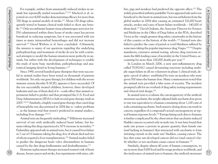For example, artifact from unnaturally induced strokes in animals has repeatedly misled researchers.117,120 Macleod et al. reported on over 4,000 studies demonstrating efficacy for more than 700 drugs in animal models of stroke.121 About 150 drugs subsequently tested in human clinical trials failed to show any benefit.122 Only recombinant human tissue plasminogen activator (rt-PA) administered within three hours of stroke onset has proven beneficial in reducing symptoms, but it was associated with ten times as many intracerebral hemorrhages and did not increase survival.<sup>123</sup> David Wiebers et al. have concluded: «Ultimately, the answers to many of our questions regarding the underlying pathophysiology and treatment of stroke do not lie with continued attempts to model the human situation more perfectly in animals, but rather with the development of techniques to enable the study of more basic metabolism, pathophysiology and anatomical imaging detail in living humans.»<sup>117</sup> The irrelevance of animal tests to the internet of animal tests to the internet of animal tests to human internet and the artificial symphony in the artificial symphony in the artificial symphony in the artificial symphon

*Medical Research Modernization Committee*

Since 1990, several hundred gene therapies that were successful in animal studies have been tested on thousands of patients worldwide. Yet only one gene therapy, for children with the severe immune system disorder X-SCID, appears to have succeeded. Of the ten successfully treated children, however, three developed leukemia and one of them died of it – a side effect that animal experiments failed to predict and that prompted the U.S. Food and Drug Administration (FDA) to halt several gene therapy trials in 2005.124,125 Similarly, a highly touted gene therapy that cured dogs of hemophilia was discontinued in 2004 due to «safety problems … in the human trial that weren't predicted in animal studies», including liver damage.<sup>126,127</sup>

Animal tests are frequently misleading.128 Milrinone increased survival of rats with artificially induced heart failure, but humans taking this drug experienced a 30% increase in mortality.129 Fialuridine appeared safe in animal tests, but it caused liver failure in 7 out of 15 humans taking the drug, five of whom died and two of whom required a liver transplantation.130 Animal studies failed to predict the dangerous heart valve abnormalities in humans caused by the diet drugs fenfluramine and dexfenfluramine.131

Hormone replacement therapy increased women's risk of heart disease, breast cancer and stroke, but experiments with mice, rabbits, pigs and monkeys had predicted the opposite effect.132 The widely prescribed arthritis painkiller Vioxx appeared safe and even beneficial to the heart in animal tests, but was withdrawn from the global market in 2004 after causing an estimated 320,000 heart attacks, strokes and cases of heart failure worldwide – 140,000 of them fatal.133 David Graham, the Associate Director for Science and Medicine in the Office of Drug Safety at the FDA, described Vioxx as the «single greatest drug safety catastrophe in the history of this country or the history of the world».134 Animal tests also failed to predict the cases of partial or total blindness suffered by some men taking the popular impotence drug Viagra.135,136 Despite mandatory, extensive animal testing, adverse drug reactions remain the fifth leading cause of mortality in the United States, accounting for more than 100,000 deaths per year.137

In London in March 2006, a new anti-inflammatory drug called TGN1412 caused devastating reactions including multiple organ failure in all six volunteers in phase 1 clinical trials, despite «proof of safety» established by tests on monkeys who were given 500 times the human dose. Many commentators noted that the animal tests provided a false sense of security. The incident prompted calls for an overhaul of drug safety testing requirements and clinical trial design.<sup>138</sup>

In animal tests to evaluate the carcinogenicity of the artificial sweetener saccharin, the weight-adjusted daily saccharin dose given to rats was equivalent to a human consuming about 1,100 cans of soda containing saccharin. Such massive dosing alone can result in cancers, regardless of a compound's actual carcinogenicity at typical human exposure levels.116 Extrapolating such data to humans is further complicated by the observation that saccharin-induced bladder cancers occurred only in male rats. It was later found that male rats possess a protein in greater quantity than female rats (and lacking in humans) that interacted with saccharin to form irritating crystals in the male rats' bladders, causing cancer. The fact that some rats developed cancers did not (and cannot) clarify whether or not saccharin causes cancer in humans.<sup>139</sup>

Similarly, despite almost 40 years of human consumption, its use in more than 9,000 food and beverage products worldwide, and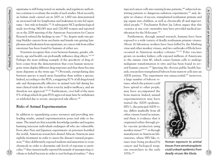aspartame is still being tested on animals, and regulatory authorities continue to evaluate the results of such studies. Most recently, an Italian study carried out in 2005 on 1,800 rats demonstrated an increased risk for lymphomas and leukemias in rats fed aspartame – but only in females.140 A subsequent NCI epidemiological study involving 340,045 men and 226,945 women and reported on at the 2006 meeting of the American Association for Cancer Research refuted the findings in rats.<sup>141</sup> So, despite male rats getting bladder cancers from saccharin and female rats getting lymphomas and leukemias from aspartame, no cancer risk from either sweetener has been found for humans of either sex.

Scientists recognize that, even between humans, gender, ethnicity, age and health can profoundly influence drug effects.142,143 Perhaps the most striking example of the specificity of drug effects comes from the demonstration that even human monozygotic twins display different drug responses and that these become more disparate as the twins age.<sup>144</sup> Obviously, extrapolating data between species is much more hazardous than within a species. Indeed, according to the FDA, a staggering 92% of all drugs found safe and therapeutically effective in animal tests fail during human clinical trials due to their toxicity and/or inefficacy, and are therefore not approved.145-147 Furthermore, over half of the mere 8% of drugs which do gain FDA approval must later be withdrawn or relabeled due to severe, unexpected side effects.148 For exception contribute the state of the contribute in the state of the state of the state of the state of the state of the state of the state of the state of the state of the state of the state of the state of the state

## **Risks of Animal Experimentation**

*Medical Research Modernization Committee*

In addition to squandering scarce resources and providing misleading results, animal experimentation poses real risks to humans. The mind-set that scientific knowledge justifies and requires harming innocent individuals endangers all who are vulnerable. Even after Nazi and Japanese experiments on prisoners horrified the world, American researchers denied African-American men syphilis treatment in order to assess the disease's natural progression,<sup>149</sup> they deliberately exposed students and minorities to toxic chemicals in order to determine safe levels of exposure to pesticides,150 they intentionally exposed thousands of unsuspecting civilians to lethal bacteria in order to test biological warfare,<sup>151</sup> they

injected cancer cells into nursing home patients,<sup>149</sup> subjected unwitting patients to dangerous radiation experiments,<sup>152</sup> and, despite no chance of success, transplanted nonhuman primate and pig organs into children, as well as chronically ill and impoverished people.153 Psychiatrist Robert Jay Lifton argues that this «science at any cost» mentality may have provided medical justification for the Holocaust.154

Furthermore, through animal research, humans have been exposed to a wide variety of deadly nonhuman primate viruses. About 16 laboratory workers have been killed by the Marburg virus and other monkey viruses, and two outbreaks of Ebola have occurred in American monkey colonies.155-157 Polio vaccines grown on monkey kidney cells exposed millions of Americans to the simian virus 40, which causes human cells to undergo malignant transformation *in vitro* and has been found in several human cancers.158 Ignoring the obvious public health hazards, researchers transplanted baboon bone marrow cells into an AIDS patient. The experiment was unsuccessful;<sup>159</sup> moreover,

a large number of baboon viruses, which the patient could have spread to other people, may have accompanied the bone marrow. Indeed, animal experimentation may have started the AIDS epidemic. HIV-1, the principal AIDS virus, differs markedly from all other viruses found in nature, and there is evidence that it originated either through polio vaccine production using monkey tissues<sup>160,161</sup> or through manufacture in American laboratories, where HIV-like viruses were being produced by cancer and biological weapons researchers in the early



*Human exposure to animal tissues from xenotransplants could unleash epidemics from deadly viruses like Ebola.*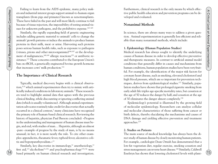Failing to learn from the AIDS epidemic, many policy makers and industrial interest groups support animal-to-human organ transplants (from pigs and primates) known as xenotransplants. These have failed in the past and will most likely continue to fail because of tissue rejection, the impossibility of testing animal tissues for unknown pathogens, and the prohibitive expense.<sup>163-165</sup>

Similarly, the rapidly expanding field of genetic engineering includes adding genetic material to animals' cells to change the animals' growth patterns or induce the animals to produce human proteins in their milk, meat or urine. Harvesting such proteins poses serious human health risks, such as exposure to pathogens (viruses, prions and other microorganisms) $166,167$  or the development of malignancies, $168,169$  allergic reactions<sup>170</sup> or antibiotic resistance.171 These concerns contributed to the European Union's ban on rBGH, a genetically engineered bovine growth hormone that increases cows' milk production.172

# **The Importance of Clinical Research**

*Medical Research Modernization Committee*

Typically, medical discovery begins with a clinical observation,9,10 which animal experimenters then try to mimic with artificially induced conditions in laboratory animals.7 These researchers tend to highlight animal data that agrees with the previous clinical finding, while discounting or ignoring conflicting animal data (which is usually voluminous). Although animal experimentation advocates routinely take credit for discoveries that actually occurred in a clinical context,<sup>7</sup> many clinicians have recognized the primary role of human-based clinical research. Reviewing the history of hepatitis, physician Paul Beeson concluded: «Progress in the understanding and management of human disease must begin, and end, with studies of man… Hepatitis, although an almost ‹pure› example of progress by the study of man, is by no means unusual; in fact, it is more nearly the rule. To cite other examples: appendicitis, rheumatic fever, typhoid fever, ulcerative colitis and hyperparathyroidism.»<sup>11</sup> 14 Essel in the particular choice is the particular choice is the choice of the continent of the continent of the continent of the continent of the continent of the continent of the continent of the continent of the cont

Similarly, key discoveries in immunology, $12$  anesthesiology, $13$ first aid,<sup>173</sup> alcoholism<sup>71,174</sup> and psychopharmacology<sup>175,176</sup> were based primarily on human clinical research and investigation.

Furthermore, clinical research is the only means by which effective public health education and prevention programs can be developed and evaluated.

# **Nonanimal Methods**

In science, there are always many ways to address a given question. Animal experimentation is generally less efficient and reliable than many nonanimal methods, which include:

#### **1. Epidemiology (Human Population Studies)**

Medical research has always sought to identify the underlying causes of human disease in order to develop effective preventive and therapeutic measures. In contrast to artificial animal model conditions that generally differ in causes and mechanisms from human conditions, human population studies have been very fruitful. For example, the identification of the major risk factors for coronary heart disease, such as smoking, elevated cholesterol and high blood pressure, which are so important for prevention techniques, derives from epidemiological studies.177 Similarly, population studies have shown that prolongedcigarette smoking from early adult life triples age-specificmortality rates, but cessation at the age of 50 reduces the danger by half, and cessation at the age of 30 eliminates the danger almost completely.178

Epidemiology's potential is illustrated by the growing field of molecular epidemiology. Researchers can analyze cellular and molecular characteristics of those suffering from cancer or birth defects, thereby elucidating the mechanisms and causes of DNA damage and yielding effective prevention and treatment approaches.179

### **2. Studies on Patients**

The main source of medical knowledge has always been the direct study of human disease by closely monitoring human patients. For example, cardiologist Dean Ornish has demonstrated that a low-fat vegetarian diet, regular exercise, smoking cessation and stress management can reverse heart disease.180 Similarly, Caldwell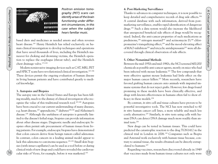

*Medical Research Modernization Committee*

*Positron emission tomography (PET) scans can identify areas of the brain functioning under different circumstances, in this case when the subject hears familiar music.*

based diets and medicines as needed arrests and often reverses heart disease.<sup>181</sup> Henry Heimlich has relied exclusively on human clinical investigation to develop techniques and operations that have saved thousands of lives, including the Heimlich maneuver for choking and drowning victims, the Heimlich operation to replace the esophagus (throat tube), and the Heimlich chest drainage valve.173,182

Modern noninvasive imaging devices such as CAT, MRI, PET and SPECT scans have revolutionized clinical investigation.<sup>183-186</sup> These devices permit the ongoing evaluation of human disease in living human patients and have contributed greatly to medical knowledge.

#### **3. Autopsies and Biopsies**

The autopsy rate in the United States and Europe has been falling steadily, much to the dismay of clinical investigators who recognize the value of this traditional research tool.187,188 Autopsies have been crucial to our current understanding of many diseases, e.g. heart disease,<sup>187</sup> appendicitis,<sup>187</sup> diabetes<sup>189,190</sup> and Alzheimer's disease.104 Although the usefulness of autopsies is generally limited to the disease's lethal stage, biopsies can provide information about other disease stages. Diagnostic needle and endoscopic biopsies often permit safe procurement of human tissues from living patients. For example, endoscopic biopsies have demonstrated that colon cancers derive from benign tumors called adenomas. In contrast, colon cancers in a leading animal model appear to lack this adenoma-to-carcinoma sequence.191,192 Small skin biopsies (with intact capillaries) can be used as a tool before or during clinical trials of new drugs and could have revealed the cardiovascular risks of Vioxx, for example, before it was marketed.193 16 **Controlling Controlling Controlling Controlling Controlling Controlling Controlling Controlling Controlling Controlling Controlling Controlling Controlling Controlling Controlling Controlling Controlling Controlling** 

### **4. Post-Marketing Surveillance**

Thanks to advances in computer techniques, it is now possible to keep detailed and comprehensive records of drug side effects.194 A central database with such information, derived from postmarketing surveillance, enables rapid identification of dangerous drugs.195 Such a data system would also increase the likelihood that unexpected beneficial side effects of drugs would be recognized. Indeed, the anti-cancer properties of such medications as prednisone,<sup>196</sup> nitrogen mustard<sup>197</sup> and actinomycin D;<sup>198</sup> chlorpromazine's tranquilizing effect;199 and the mood-elevating effect of MAO-inhibitors<sup>200</sup> and tricyclic antidepressants<sup>201</sup> were all discovered through clinical observation of side effects.

#### **5. Other Nonanimal Methods**

Between the mid-1950s and mid-1980s, the NCI screened 400,000 chemicals as possible anti-cancer agents, mostly on mice who had been infected with mouse leukemia.202 The few compounds that were effective against mouse leukemia had little effect on the major human cancer killers.203 More recently, researchers have favored grafting human cancers onto animals with impaired immune systems that do not reject grafts. However, few drugs found promising in these models have been clinically effective, and drugs with known effectiveness in humans often fail to show efficacy in these models.204

By contrast, *in vitro* cell and tissue cultures have proven to be powerful investigative tools. The NCI has now switched to 60 *in vitro* human cancer cell lines, a more reliable and much less costly alternative.205 Similarly, *in vitro* tests using cells with human DNA can detect DNA damage much more readily than animal tests.206

New drugs can be tested in human tissues. This could have predicted the catastrophic reaction to the drug TGN1412 in the clinical trial in London in 2006.138 Companies such as Biopta and Asterand work exclusively with human tissue because, contrary to animal tissue, the results obtained can be directly extrapolated to humans.207

Regarding vaccines, researchers discovered already in 1949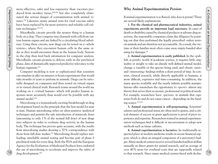more effective, safer and less expensive than vaccines produced from monkey tissue,<sup>208,209</sup> but also completely eliminated the serious danger of contamination with animal viruses.210 Likewise, many animal tests for viral vaccine safety have been replaced by far more sensitive and reliable cell culture techniques.<sup>211,212</sup>

Microfluidic circuits provide the nearest thing to a human body on a chip. They comprise tiny channels with cells from various human organs and are linked by a circulating blood substitute. Using these circuits, new drugs can be tested on a «whole system», where they encounter human cells in the same order as they would encounter them in the human body. Sensors in the chip then feed back information for computer analysis. Microfluidic circuits promise to deliver, early in the preclinical phase, data of dramatically improved predictive relevancy to the human organism.213

*Medical Research Modernization Committee*

Computer modeling is now so sophisticated that scientists can simulate *in silico* in minutes or hours experiments that would take months or years to perform in animals. Drugs can be rationally designed on computers and then tested on virtual organs or in virtual clinical trials. Research teams around the world are working on a «virtual human» which will predict human responses more accurately than would ever be possible with any animal model.214

Microdosing is a tremendously exciting breakthrough in drug development based on the principle that the best model for man is man. Human microdosing relies on ultra-sensitive analytical techniques and permits the safe introduction of miniscule doses (amounting to only 1% of the normal full dose) of new drugs into subjects in order to evaluate drug activity in the human body. The technique has proven quite accurate, with the results from microdosing studies showing a 70% correspondence with those from full-dose studies.215 Microdosing should replace misleading, unreliable animal testing and become part of phase 0 preclinical trials for every drug. Both the FDA and the European Agency for the Evaluation of Medicinal Products have endorsed the use of microdosing to accelerate and improve the safety of drug development.<sup>216</sup> From the since the since of the since of the since of the since of the since of the since of the since of the since of the since of the since of the since of the since of the since of the since of the since of the since o

# **Why Animal Experimentation Persists**

If animal experimentation is so flawed, why does it persist? There are several likely explanations.

**1. For the chemical and pharmaceutical industries, animal experiments provide an important legal sanctuary.** In cases of death or disability caused by chemical products or adverse drug reactions, the responsible companies claim due diligence by pointing out that they performed the legally prescribed «safety tests» on animals and are therefore not accountable. As a result, the victims or their families most often come away empty-handed after suing for damages.<sup>14</sup>

**2. Animal experimentation is easily published.** In the «publish or perish» world of academic science, it requires little originality or insight to take an already well-defined animal model, change a variable or the species being used, and obtain «new» and «interesting» findings within a short period of time. In contrast, clinical research, while directly applicable to humans, is more difficult, expensive and time-consuming. In addition, the many species available and the nearly infinite possible manipulations offer researchers the opportunity to «prove» almost any theory that serves their economic, professional or political needs. For example, researchers have «proven» in animals that cigarettes both do and do not cause cancer – depending on the funding source.217,218

**3. Animal experimentation is self-perpetuating.** Scientists' salaries and professional status are often tied to grants, and a critical element of success in grant applications is proof of prior experience and expertise. Researchers trained in animal experimentation techniques find it difficult or inconvenient to adopt new methods such as tissue cultures.

**4. Animal experimentation is lucrative.** Its traditionally respected place in modern medicine results in secure financial support, which is often an integral component of a university's budget. Many medical centers receive several hundred million dollars annually in direct grants for animal research, and an average of over 40% more for overhead costs that are supposedly related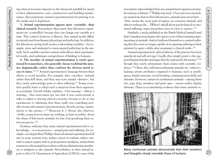ing clinical revenues depend on this financial windfall for much of their administrative costs, construction and building maintenance, they perpetuate animal experimentation by praising it in the media and to legislators.

**5. Animal experimentation appears more «scientific» than clinical research.** Researchers often assert that laboratory experiments are «controlled» because they can change one variable at a time. This control, however, is illusory. Any animal model differs in myriad ways from human physiology and pathology. In addition, the laboratory setting itself creates confounding variables – for example, stress and undesired or unrecognized pathology in the animals. Such variables can have system-wide effects, skew experimental results, and undermine extrapolation of findings to humans.

*Medical Research Modernization Committee*

**6. The morality of animal experimentation is rarely questioned by researchers, who generally choose to defend the practice dogmatically, rather than confront the obvious moral issues it raises.**219-222 Animal experimenters' language betrays their efforts to avoid morality. For example, they «sacrifice» animals rather than kill them, and they may note animal «distress», but they rarely acknowledge pain or other suffering.<sup>223</sup> Young scientists quickly learn to adopt such a mind-set from their superiors, as sociologist Arnold Arluke explains: «One message – almost a warning – that newcomers got was that it was controversial or risky to admit to having ethical concerns, because to do so was tantamount to admitting that there really was something morally wrong with animal experimentation, thereby giving ‹ammunition to the enemy>.»<sup>223</sup> Physician E. J. Moore also observes: «Sadly, young doctors must say nothing, at least in public, about the abuse of laboratory animals, for fear of jeopardizing their career prospects.»<sup>224</sup> 20 21 A Critical Animal Animal Animal Animal Animal Animal Animal Animal Animal Animal Animal Animal Animal Animal Animal Animal Animal Animal Animal Animal Animal Animal Animal Animal Animal Animal Animal Animal Animal A

Evidence indicates that many animal experimenters fail to acknowledge – or even perceive – animal pain and suffering. For example, sociologist Mary Phillips observed animal experimenters kill rats in acute toxicity tests, induce cancer in rodents, subject animals to major surgery with no postoperative analgesia, and perform numerous other painful procedures without administering anesthesia or analgesia to the animals. Nevertheless, in their annual reports to the U.S. Department of Agriculture (USDA), none of the researchers acknowledged that any animals had experienced unrelieved pain or distress.225 Phillips reported: «Over and over, researchers assured me that in their laboratories, animals were never hurt… ‹Pain› meant the acute pain of surgery on conscious animals, and almost nothing else… [When I asked] about psychological or emotional suffering, many researchers were at a loss to answer.»225

Similarly, a study published in the *British Medical Journal* found that Canadian neurologists who spent a year of their training experimenting on animals «had so hardened themselves to animal suffering that they were no longer capable of recognizing suffering in their patients for quite a while after returning to clinical work».226

Animal experimenters' ethical defense of the practice has been superficial and self-serving. Usually, they simply point to the supposed human benefits and argue that the ends justify the means,  $227,228$ though they rarely substantiate their claims with scientific evidence.229 Often, they add that nonhuman animals are «inferior», lacking certain attributes compared to humans, such as intelligence, family structure, social bonding, communication skills and altruism. However, numerous nonhuman animals – among them rats, pigs, dogs, monkeys and great apes – reason and/or display altruism. There is accumulating evidence that many animals ex-



*Many nonhuman animals demonstrate that their emotions and thoughts closely resemble those of humans.*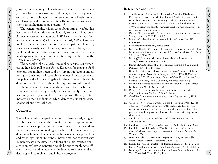perience the same range of emotions as humans.230-232 For example, mice have been shown to exhibit empathy with cage mates suffering pain.<sup>233</sup> Chimpanzees and gorillas can be taught human sign language and to communicate with one another using signs even without humans being present.234,235

The general public, which cares about animal welfare, has been led to believe that animals rarely suffer in laboratories. Animal experimenters often cite USDA statistics (derived from researchers themselves) which claim that only 6-8% of animals used in animal experimentation experience pain unrelieved by anesthesia or analgesia.236 However, mice, rats and birds, who in the United States constitute over 90% of all animals used in animal experimentation, receive absolutely no protection from the Animal Welfare Act.237

The general public is clearly uneasy about animal experimentation. In a 2006 poll in the United Kingdom, for example, 51% of nearly one million voters said they are not in favor of animal testing.238 Since medical research is conducted for the benefit of the public and is financed largely with their taxes and charitable donations, their concerns should be respected and addressed.

The tens of millions of animals used and killed each year in American laboratories generally suffer enormously, often from fear and physical pain, and nearly always from the deprivation inflicted by their confinement which denies their most basic psychological and physical needs.

# **Conclusion**

*Medical Research Modernization Committee*

The value of animal experimentation has been grossly exaggerated by those with a vested economic interest in its preservation. Because animal experimentation focuses on artificially created pathology, involves confounding variables, and is undermined by differences between human and nonhuman anatomy, physiology and pathology, it is an inherently unsound method to investigate human disease processes. The billions of dollars invested annually in animal experimentation would be put to much more efficient, effective and humane use if redirected to clinical and epidemiological research and public health programs. 22 York, Coward-Weight and the constraints of the state of the state of the state of the state of the state of the state of the state of the state of the state of the state of the state of the state of the state of the st

# **References and Notes**

- 1. The Physicians Committee for Responsible Medicine (Washington, D.C., www.pcrm.org), the Medical Research Modernization Committee (Cleveland, Ohio, www.mrmcmed.org) and Europeans for Medical Progress (London, U.K., www.curedisease.net) combined have over 10,000 physician and scientist members, most of whom are highly critical of animal experimentation.
- 2. Barnard ND, Kaufman SR. Animal research is wasteful and misleading. *Scientific American* 1997; Feb: 80-82.
- 3. Mukerjee M. Trends in animal research. *Scientific American* 1997; Feb: 86-93.
- 4. www.curedisease.net/news/040903.shtml.
- 5. Loeb JM, Hendee WR, Smith SJ, Schwartz R. Human vs. animal rights: In defense of animal research. *Journal of the American Medical Association* 1989; 262: 2716-2720.
- 6. Botting JH, Morrison AD. Animal research is vital to medicine. *Scientific American* 1997; Feb: 83-85.
- 7. Reines BP. On the locus of medical discovery. *Journal of Medicine and Philosophy* 1991; 116: 183-209.
- 8. Reines BP. On the role of clinical anomaly in Harvey's discovery of the mechanism of the pulse. *Perspectives in Biology and Medicine* 1990; 34: 128-133.
- 9. McQuarrie I. *The Experiments of Nature and Other Essays from the Porter Lectures.* Lawrence, Kansas, University of Kansas Press, 1944.
- 10. Peller S. *Quantitative Research in Human Biology and Medicine.* Bristol, England, John Wright & Sons, 1967.
- 11. Beeson PB. The growth of knowledge about a disease: hepatitis. *American Journal of Medicine* 1979; 67: 366-370.
- 12. Good RA. Runestones in immunology. *Journal of Immunology* 1976; 117: 1413-1428.
- 13. Good RA. Keystones. *Journal of Clinical Investigation* 1968; 47: 1466- 1471. Beeson and Good have recently emphasized that they do not oppose animal experimentation, and that they consider it important to medical progress. However, their own articles speak for themselves.
- 14. Greek CR, Greek JW. *Sacred Cows and Golden Geese.* New York, Continuum, 2000.
- 15. Greek CR, Greek JW. *Specious Science.* New York, Continuum, 2002.
- 16. Greek JS, Greek CR. *What Will We Do If We Don't Experiment on Animals? Medical Research for the Twenty-First Century.* Victoria, B.C., Trafford, 2004.
- 17. Brecher R. *The Consumers Union Report on Smoking and the Public Interest.* Mount Vernon, Consumers Union, 1963.
- 18. Doll R, Hill AB. The mortality of doctors in relation to their smoking habits: A preliminary report. *British Medical Journal* 1954; 1: 1451-1455.
- 19. Northrup E. Men, mice, and smoking, in *Science Looks at Smoking.* New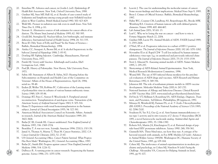- 20. Enterline PE. Asbestos and cancer, in Gordis L (ed). *Epidemiology & Health Risk Assessment.* New York, Oxford University Press, 1988.
- 21. Gardner MJ, Snee MP, Hall AJ, et al. Results of case-control study of leukaemia and lymphoma among young people near Sellafield nuclear plant in West Cumbria. *British Medical Journal* 1990; 300: 423-429.
- 22. Wald ML. Pioneer in radiation sees risk even in small doses. *New York Times* Dec 8, 1994, p A1.
- 23. Stewart A. Alternative sources of risk estimates for cancer effects of ra diation. *The Mount Sinai Journal of Medicine* 1995; 62: 380-385.
- 24. Gould JM, Sternglass EJ. Nuclear fallout, low birthweight, and immune deficiency. *International Journal of Health Science* 1994; 24: 311-335.
- 25. Bross ID. Fifty Years of Folly and Fraud "In the Name of Science. » Buffalo, *Biomedical Metatechnology,* 1994.
- 26. Ainley CC, Senapati A, Brown IM, et al. Is alcohol hepatotoxic in the baboon? *Journal of Hepatology* 1988; 7: 85-92.
- 27. Dowling HF. *Fighting Infection.* Cambridge, Massachusetts, Harvard University Press, 1977.
- 28. Parish HJ. *Victory with Vaccines.* Edinburgh and London, E&S Livingstone Ltd., 1968.
- 29. Paul JR. *History of Poliomyelitis.* New Haven, Yale University Press, 1971.
- 30. Sabin AB. Statement of Albert B. Sabin, M.D. Hearing before the Subcommittee on Hospitals and Health Care of the Committee on Veterans' Affairs of the House of Representatives, April 26, 1984, serial no. 98-48.
- 31. Enders JF, Weller TH, Robbins FC. Cultivation of the Lansing strain of poliomyelitis virus in cultures of various human embryonic tissue. *Science* 1949; 109: 85-86.
- 32. Domingo RT, Fries C, Sawyer P, Wesolowski S. Peripheral arterial reconstruction. Transplantation of autologous veins. *Transactions of the American Society of Artificial Internal Organs* 1963; 9: 305-316.
- 33. Hume D. Experiences with renal homotransplantation in the human subject. *Journal of Clinical Investigation* 1955; 34: 327-381.
- 34. American Medical Association Council on Scientific Affairs. Animals in research. *Journal of the American Medical Association* 1989; 261: 3602-3606.
- 35. Bailar JC III, Gornik HL. Cancer undefeated. *New England Journal of Medicine* 1997; 336: 1569-1574.
- 36. Beardsley T. A war not won. *Scientific American* 1994: 270(1); 130-138.
- 37. Jamal A, Thomas A, Murray T, Thun M. Cancer Statistics, 2002. *CA Cancer Journal for Clinicians* 2002; 52: 23-47.
- 38. US General Accounting Office. *Cancer Patient Survival: What Progress Has Been Made?* Washington, DC, General Accounting Office, 1987.
- 39. Bailar JC, Smith EM. Progress against cancer? *New England Journal of Medicine* 1986; 314: 1226-32.
- 40. Dulbecco R. A turning point in cancer research: Sequencing the human genome. *Science* 1986; 231: 1055-1056.
- 41. Leavitt J. The case for understanding the molecular nature of cancer: Some recent findings and their implications. *Medical News* Sept 9, 1985.
- 42. Bross I. Crimes of Official Science. Buffalo, *Biomedical Metatechnology,* 1987.
- 43. Hahn WC, Counter CM, Lundberg AS, Beijersbergen RL, Brooks MW, Weinberg RA. Creation of human tumour cells with defined genetic elements. *Nature* 1999; 400: 464-467.
- 44. *Lab Animal* June 2001; 30 (6): 13.
- 45. Leaf C. Why we're losing the war on cancer and how to win it. *Fortune Magazine* March 22, 2004.
- 46. Gardner MB, Luciw PA. Animal Models of AIDS. *FASEB Journal* 1989; 3: 2593-2606.
- 47. O'Niel, SP et al. Progressive infection in a subset of HIV-1 positive chimpanzees. *The Journal of Infections Diseases* 2000; 182 (4): 1051-1062.
- 48. Novembre FJ et al. Rapid CD4 + T-cell loss induced by human immun odeficiency virus type  $1_{\rm NC}$  in uninfected and previously infected chimpanzees. *The Journal of Infections Diseases* 2001; 75 (3): 1533-1539.
- 49. Stott J, Almond N. Assessing animal models of AIDS. *Nature Medicine* 1995; 1: 295-297.
- 50. *Shortcomings of AIDS-Related Animal Experimentation.* New York, Medical Research Modernization Committee, 1996.
- 51. Wyand MS. The use of SIV-infected rhesus monkeys for the preclini cal evaluation of AIDS drugs and vaccines. *AIDS Research and Human Retroviruses* 1992; 8: 349-356.
- 52. Johnston MI. The role of nonhuman primate models in AIDS vaccine development. *Molecular Medicine Today* 2000; 6: 267-270.
- 53. National Institute of Allergy and Infectious Diseases. *Clinical Research on HIV Vaccines* May 2005. www.niaid.nih.gov/factsheets/clinrsch.htm.
- 54. DeVita Jr. VT, Hellman S, Rosenberg SA. *AIDS Etiology, Diagnosis, Treat ment, and Prevention,* 3rd Edition. Philadelphia, JB Lippincott, 1992.
- 55. Mitsuya H, Weinhold KJ, Furman PA, et al. 3'-Azido-3'deoxythymidine (BS A509U). *Proceedings of the National Academy of Sciences USA* 1985; 82: 7096-7100.
- 56. Soudeyns H, Yao X-J, Gao Q, et al. Anti-human immunodeficiency vi rus type 1 activity and *in vitro* toxicity of 2'-deoxy-3'-thiacytidine (BCH 189), a novel heterocyclic nucleoside analog. *Antimicrobial Agents and Chemotherapeutics* 1991; 35: 1386-1390.
- 57. Roberts NA, Martin JA, Kinchington D, et al. Rational design of pep tide-based HIV proteinase inhibitors. *Science* 1990: 248; 358-361.
- 58. Giannelli MA. Three blind mice, see how they run: A critique of be havioral research with animals, in Fox MW, Mickley LD (eds). *Advances in Animal Welfare Science* 1985/86. Washington DC, Humane Society of the United States, 1985, pp 109-164. **Challenge. Alexandria Variable Challenge. Alexandria Variable Schrift and Challenge. Alexandria Variable Schrift and Challenge. Alexandria Variable Schrift and Challenge. Alexandria Variable Schrift and Challenge. Alexa** 
	- 59. Cohen MJ. The irrelevance of animal experimentation in modern psy chiatry and psychology, in Cohen MJ, Natelson N (eds) *Facing the*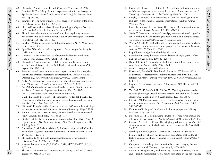- 60. Cohen MJ. Animal testing [letter]. *Psychiatric News*. Nov 20, 1987.
- 61. Bannister D. The fallacy of animal experimentation in psychology, in Sperlinger D (ed). *Animals in Research.* New York, John Wiley & Sons, 1981, pp 307-317.
- 62. Bannister D. The myth of physiological psychology. *Bulletin of the British Psychological Society* 1968; 21: 229-231.
- 63. Shapiro K. Animal Models of Human Psychology: *Critique of Science, Ethics and Policy.* Seattle, Hogrefe & Huber, 1997.
- 64. Plous S. Attitudes towards the use of animals in psychological research and education: Results from a national survey of psychologists. *American Psychologist* 1996; 51: 1167-1180.
- 65. Bowlby J. Maternal care and mental health. Geneva, *WHO Monograph Series,* No. 2, 1952.
- 66. Spitz RA, Wolf KM. Anaclitic depression. *Psychoanalytic Studies of the Child* 1946; 2: 313-342.
- 67. Cohen MJ. A critique of the use of maternally deprived monkeys to study alcohol abuse. *MRMC Report* 1996; 9(1): 1-2.
- 68. Cohen MJ. A critique of maternal deprivation monkey experiments at The State University of New York Health Science Center. *MRMC Report* 1996; 9(4): 1-8.
- 69. Scientists reveal significant behavioral impacts of early life stress, the importance of timed therapies to counteract them. *OHSU News Release* October 24, 2004. www.ohsu.edu/news/2004/102404stress.html.
- 70. Kelly JA. Psychological research and the rights of animals: Disagreement with Miller [letter]. *American Psychologist* 1986; 41: 839-841.
- 71. Dole VP. On the relevance of animal models to alcoholism in humans. *Alcoholism Clinical and Experimental Research* 1986; 10: 361-363.
- 72. Lee T. *Gene Future.* New York, Plenum Pr, 1993, p 177.
- 73. Clarke LL, Grubb BR, Gabriel SE, Smithes O, Koller BH, Boucher RC. Defective epithelial transport in a gene-targeted mouse model of cystic fibrosis. *Science* 1992; 257: 1125-1128.
- 74. Zbinden G, Flury-Roversi M. Significance of the LD50 test for the toxicolog ical evaluation of chemical substances. *Archives of Toxicology* 1981; 47: 77-99.
- 75. Fano A. *Lethal Laws: Animal Testing, Human Health and Environmental Policy.* London, Zed Books, 1997, pp 157-159.
- 76. Stephens M. Replacing animal experiments, in Langley G (ed). *Animal Experimentation: The Consensus Changes.* New York, Chapman and Hall, 1989, pp 144-168.
- 77. Clemedson C, McFarlane-Abdulla E, Andersson M, et al. MEIC evalu ation of acute systemic toxicity. *Alternatives to Laboratory Animals* 1996; 24 (Suppl 1): 273-311.
- 78. Shrivastava R. *In vitro* tests in pharmacotoxicology. *Alternatives to Laboratory Animals* 1997; 25: 339-340.
- 79. www.oecd.org/document/55/0,2340,en\_2649\_34377\_2349687\_1\_1\_1\_ 1,00.html.
- 80. Sharpe R. The Draize test motivations for change. *Food and Chemical Toxicology* 1985; 23: 139-143.
- 81. Freeberg FE, Hooker DT, Griffith JF. Correlation of animal eye test data with human experience for household products: An update. *Journal of Toxicology – Cutaneous & Ocular Toxicology* 1986; 5: 115-123.
- 82. Langley G, Fisher G. *New Perspectives in Cosmetic Toxicology: Non-an imal Tier-Testing Strategies.* London, International Fund for Animal Welfare, 1995.
- 83. Lave LB, Ennever FK, Rosenkranz HS, Omenn GS. Information value of the rodent bioassay. *Nature* 1988; 336: 631-633.
- 84. Seidle T. *Creative Accounting: (Mis)judging the costs and benefits of rodent cancer studies by the UK Home Office* May 2006. PETA Europe Limited. www.peta.org.uk/feat/pdf/Creative\_Accounting.pdf.
- 85. Worth AP, Balls M (eds). Alternative (non-animal) methods for chemi cal testing: Current status and future prospects. *Alternatives to Laboratory Animals* 2002; 30 (Suppl 1): 83-93.
- 86. http://dtp.nci-nih.gov/branches/btb/ivclsp.html.
- 87. Kerkvliet GK. Drug discovery screen adapts to changes. *Journal of the National Cancer Institute* 1990; 82: 1087-8.
- 88. Bailey J, Knight A, Balcombe J. The future of teratology research is *in vitro. Biogenic Amines,* 2005; 19 (2): 97-145.
- 89. www.pcrm.org/resch/meded/index.html.
- 90. Fawver AL, Branch CE, Trentham L, Robertson BT, Beckett SD. A comparison of interactive videodisc instruction with live animal labo ratories. *American Journal of Physiology* 1990; 259 (Adv Physiol Educ 4): S11-S14.
- 91. Hepner LA. *Animals in Education.* Albuquerque, NM, Richmond Pub, 1994.
- 92. Tan GM, Ti LK, Suresh S, Ho BS, Lee TL. Teaching first-year medical students physiology: Does the human patient simulator allow for more effective teaching? *Singapore Medical Journal* 2002; 43: 238-42.
- 93. Friedrich MJ. Practice makes perfect: Risk-free medical training with patient simulators. *Journal of the American Medical Association* 2002; 288: 2808-12.
- 94. Kaufmann CR. Surgical simulation: A clinical perspective. *Military Medicine* 2003; 168: 16-20.
- 95. Balcombe J. Medical training using simulation: Toward fewer animals and safer patients. *Alternatives to Laboratory Animals* 2004; 32 (supp 1): 553-60.
- 96. Gordon JA, Oriol NE, Cooper JB. Bringing good teaching cases "to life": A simulator-based medical education service. *Academic Medicine* 2004; 79: 23-7.
- 97. Issenberg SB, McGaghie WC, Petrusa ER, Gordon DL, Scalese RJ. Features and uses of high-fidelity medical simulations that lead to effective learning: A BEME systematic review. *Medical Teacher* 2005; 27: 10-28. 2. The books of the interesting the transformation of the interest of the interest of the interest of the interest of the interest of the interest of the interest of the interest of the interest of the interest of the in
	- 98. Groopman J. A model patient: how simulators are changing the way doctors are trained. *The New Yorker*, May 2, 2005: 48-54.
	-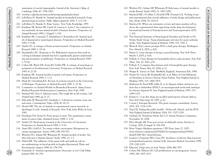- 100. wwwfacs.org/education/accreditationprogram/index.html.
- 101. LaFollette H, Shanks N. Animal models in biomedical research: Some epistemological worries. *Public Affairs Quarterly* 1992; 7: 113-130.
- 102. LaFollette H, Shanks N. *Brute Science.* New York, Routledge, 1997.
- 103. Kaufman SR, Reines BP, Casele H, Lawson L, Lurie J. An evaluation of ten randomly chosen animal models of human diseases. *Perspectives on Animal Research* 1989; 1 (Suppl): 1-128.
- 104. Kaufman SR, Czarnecki T, Haralabatos I, Richardson M. Animal mod els of degenerative neurological diseases. *Perspectives on Medical Research* 1991; 3: 9-48.
- 105. Smith CD. A critique of brain wound research. *Perspectives on Animal Research* 1989; 1: 19-24.
- 106. Buyukmihci NC. Response to Dr. Blakemore's assertion that work in volving nonhuman animals has led to significantly greater understand ing and treatment of amblyopia. *Perspectives on Animal Research* 1989; 1: 57-62.
- 107. Cohen MJ, Black DN, Fouts RS, Dobbs FW. A critique of neurology ex periments at Northwestern University. *Perspectives on Medical Research* 1993; 4: 22-28.
- 108. Kaufman SR. Animal models of spinal cord injury. *Perspectives on Medical Research* 1990; 2: 1-12.
- 109. Mack JD, Greenberg RA. Review of scoliosis research at the University of Michigan. *Perspectives on Medical Research* 1990; 2: 33-36.
- 110. Committee on Animal Models in Biomedical Research. *Aping Science.* Medical Research Modernization Committee, New York, 1995.
- 111. Barnard ND, Hou S. Inherent stress: The tough life in lab routine. *Lab Animal* Sept 1988, pp 21-27.
- 112. Balcombe JP, Barnard ND, Sandusky C. Laboratory routines cause ani mal stress. *Contemporary Topics* 2004; 43: 42-51.
- 113. Hewitt HB. The use of animals in experimental cancer research, in Sperlinger D (ed). *Animals in Research.* New York, John Wiley & Sons, 1981.
- 114. Freedman DA, Zeisel H. From mouse to man: The quantitative assess ment of cancer risks. *Statistical Science* 1988; 3: 3-28.
- 115. Smith CD. Head injury research at the University of Cincinnati. *Perspectives on Animal Research* 1989; 1: 9-18.
- 116. Ames BN, Gold LS. Too many rodent carcinogens: Mitogenesis in creases mutagenesis. *Science* 1990; 249: 970-971.
- 117. Wiebers DO, Adams HP, Whisnant JP. Animal models of stroke: Are they relevant to human disease? *Stroke* 1990; 21: 1-3.
- 118. Habal MB. The influence of lip repair with and without soft-tis sue undermining on facial growth in beagles [discussion]. *Plastic and Reconstructive Surgery* 1988; 82: 756-759.
- 119. Fernandes D. Animal experimentation: Necessary or not? *Cleft Palate Journal* 1989; 26: 258.
- 120. Wiebers DO, Adams HP, Whisnant JP. Relevance of animal models to stroke [letter]. *Stroke* 1990; 21: 1091-1092.
- 121. Macleod MR, O'Collins T, Howells DW, Donnan GA. Pooling of ani mal experimental data reveals influence of study design and publication bias. *Stroke* 2004; 35: 1203-8.
- 122. Macleod M. What can systematic review and meta-analysis tell us about the experimental data supporting stroke drug development? *International Journal of Neuroprotection and Neuroregeneration* 2005; 1: 201.
- 123. The National Institute of Neurological Disorders and Stroke rt-PA Stroke Study Group. Tissue plasminogen activator for acute ischemic stroke. *New England Journal of Medicine* 1995; 333: 1581-7.
- 124. Weiss R. Boy's cancer prompts FDA to halt gene therapy. *Washington Post,* March 4, 2005, p A02.
- 125. Harris G. Gene therapy is facing a crucial hearing. *New York Times,* March 3, 2005, p A16.
- 126. Pollack A. Gene therapy for hemophilia shows some promise. *New York Times,* Dec 10, 2002, p F2.
- 127. Pollack A. Company discontinues trial of hemophilia gene therapy. New York Times, May 28, 2004, p C2.
- 128. Sharpe R. *Science on Trial.* Sheffield, England, Awareness Pub, 1994.
- 129. Packer M, Carver JR, Rodeheffer RJ, et al. Effect of Oral Milrinone on Mortality in Severe Chronic Heart Failure. *New England Journal of Medicine* 1991; 325: 1468-1475.
- 130. McKenzie R, Fried MW, Sallie R, et al. Hepatic failure and lactic aci dosis due to fialuridine (FIAU), an investigational nucleoside analogue for chronic hepatitis B. *New England Journal of Medicine* 1995; 333: 1099-1105. 29. Cohen Colem Colem Colem Colem Colem Colem Colem Colem Colem Colem Colem Colem Colem Colem Colem Colem Colem Colem Colem Colem Colem Colem Colem Colem Colem Colem Colem Colem Colem Colem Colem Colem Colem Colem Colem
	- 131. Kolata G. 2 top diet drugs are recalled amid reports of heart defects. *New York Times* Sept 16, 1997, p A1.
	- 132. Couzin J. Estrogen Research: The great estrogen conundrum. *Science*, 2003; 302: 1136-1138.
	- 133. Topol EJ. Failing the public health Rofecoxib, Merck, and the FDA. *New England Journal of Medicine* 2004; 351: 1707-1709.
	- 134. Graham DJ. Testimony before the U.S. Senate Finance Committee, November 18, 2004.
	- 135. McCollough AR. Four-year review of sildenafil citrate, *Reviews in Urology*, 2002; 4 (suppl 3): S26-S38.
	- 136. More Viagra, blindness questions. *CBS News*, June 27, 2005. www.cbsnews.com/stories/2005/06/27/eveningnews/main704562. shtml?CMP=ILC-SearchStories.
	- 137. Lazarou J, Pomeranz BH, Corey PN. Incidence of adverse drug reactions in hospitalized patients. *Journal of the American Medical Association* 1998; 279: 1200-1205.
	- 138. Editorial. Drugs tests on trial. *Nature* 2006; 440: 970.
	-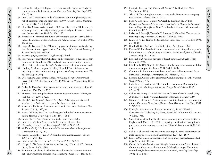- 140. Soffritti M, Belpoggi F, Esposti DD, Lambertini L. Aspartame induces lymphomas and leukaemias in rats. *European Journal of Oncology* 2005; 10: 107-16.
- 141. Lim U et al. Prospective study of aspartame-containing beverages and risk of hematopoietic and brain cancers. 97<sup>th</sup> AACR Annual Meeting, abstract #4010, April 4, 2006.
- 142. Gear RW, Miaskowski C, Gordon NC, Paul SM, Heller PH, Levine JD. Kappa-opioids produce significantly greater analgesia in women than in men. *Nature Medicine* 1996; 2: 1184-1185.
- 143. Berardesca E, Maibach IH. Racial differences in sodium lauryl sulphate induced cutaneous irritation: Black and White. *Contact Dermatitis* 1988; 18: 65-70.
- 144. Fraga MF, Ballestar E, Paz MF, et al. Epigenetic differences arise during the lifetime of monozygotic twins. *Proceedings of the National Academy of Sciences* 2005; 102: 10604-9.
- 145. www.fda.gov/oc/speeches/2004/phrma0403.html.
- 146. Innovation or stagnation: Challenge and opportunity on the critical path to new medical products. U.S. Food and Drug Administration Report, March 2004, p. 8. www.fda.gov/oc/initiatives/criticalpath/whitepaper.pdf.
- 147. Harding A. More compounds failing Phase I. FDA chief warns that high drug attrition rate is pushing up the cost of drug development. *The Scientist* Aug. 6, 2004.
- 148. U.S. General Accounting Office. *FDA Drug Review: Postapproval Risks 1976-1985.* Publication GAO/PEMD-90-15, Washington, D.C., 1990.
- 149. Barber B. The ethics of experimentation with human subjects. *Scientific American* 1976; 234(2): 25-31.
- 150. Eilperin J. EPA using data from chemical tests on humans. *Washington Post*, June 17, 2005, p A03.
- 151. Cole LA. *The Eleventh Plague: The Politics of Biological and Chemical Warfare*. New York, W.H. Freeman & Company, 1996.
- 152. Kiernan V. Radiation doctors abused trust in the name of science. *New Scientist* Oct 14, 1995, p 8.
- 153. Annas GJ. Baby Fae: The "anything goes" school of human experimen tation. *Hastings Center Report* 1985; 15(1): 15-17.
- 154. Lifton RJ. *The Nazi Doctors.* New York, Basic Books, 1986.
- 155. Preston R. *The Hot Zone.* New York, Random House, 1994.
- 156. Cohen MJ. Ebola Alice? *Texas Republic* 1996; 3(2): 27-30.
- 157. McKenna MAJ. Monkey virus kills Yerkes researcher. *Atlanta Journal-Constitution* Dec 12, 1997.
- 158. Pennisi E. Monkey virus DNA found in rare human cancers. *Science* 1997; 275: 748-749.
- 159. Baboon cells fail to combat AIDS. *Nature* 1996; 379: 577.
- 160. Hooper E. *The River: A Journey to the Source of HIV and AIDS.* Boston, Little, Brown & Co, 1999.
- 161. Reinhardt V, Roberts A. The African polio vaccine-acquired immune deficiency syndrome connection. *Medical Hypotheses* 1997; 48: 367-374.
- 162. Horowitz LG. *Emerging Viruses: AIDS and Ebola.* Rockport, Mass, Tetrahedron, 1996.
- 163. Allan JS. Xenotransplantation at a crossroads: Prevention versus prog ress. *Nature Medicine* 1996; 2: 18-21.
- 164. Fano A, Cohen MJ, Cramer M, Greek R, Kaufman SR. *Of Pigs, Primates and Plagues: A Layperson's Guide to the Problems with Animal-to-Human Organ Transplants.* New York, Medical Research Modernization Committee, 1997.
- 165. LeTissier P, Stoye JP, Takeuchi Y, Patience C, Weiss RA. Two sets of hu man-tropic pig retrovirus. *Nature* 1987; 389: 681-682.
- 166. Kimbrell A. *The Human Body Shop.* San Francisco, HarperCollins, 1994, pp 183-187.
- 167. Rhodes R. *Deadly Feasts.* New York, Simon & Schuster, 1997.
- 168. Epstein SS. Unlabeled milk from cows treated with biosynthetic growth hormones: A case of regulatory abdication. *International Journal of Health Services* 1996; 26: 173-185.
- 169. Epstein SS. A needless new risk of breast cancer. *Los Angeles Times,* March 20, 1994.
- 170. Challcombe DN, Wheeler EE. Safety of milk from cows treated with bo vine somatotropin. *The Lancet* 1994; 344: 815-816.
- 171. Cummins R. An international boycott of genetically engineered foods. Pure Food Campaign, Washington, DC, March 4, 1997.
- 172. Leonard RE. Codex at the crossroads: Conflict on trade health. *Nutrition Week* 1995; 25: 4-5.
- 173. Heimlich HJ, Patrick EA. The Heimlich maneuver: Best technique for saving any choking victim's life. *Postgraduate Medicine* 1990; 87: 68-79.
- 174. Cohen MJ, Young C. *"Alcoholic" Rats and Other Alcohol Research Using Animals.* New York, National Research Information Center, 1989.
- 175. Sitaram N, Gershon S. Animal models to clinical testing promises and pitfalls. *Progress in Neuropsychopharmacology, Biology and Psychiatry* 1983; 7: 227-228.
- 176. Davis JM. Antipsychotic drugs, in Kaplan HI, Sadock BJ (eds). *Comprehensive Textbook of Psychiatry,* Fourth Ed. Baltimore, William and Wilkins, 1985.
- 177. Unal B et al. Modelling the decline in coronary heart disease deaths in England and Wales, 1981-2000: comparing contributions from primary prevention and secondary prevention. *British Medical Journal* 2005; 331: 614. center lifestyle demonstration project. *American Journal of Cardiology* <sup>30</sup> 1998; 82: 72T-76T. <sup>31</sup>*A Critical Look at Animal ExperimentationMedical Research Modernization Committee*
	- 178. Doll R et al. Mortality in relation to smoking: 50 years' observations on male British doctors. *British Medical Journal* 2004; 328: 1519.
	- 179. Lower GM. Human carcinogenesis: A disciplinary perspective. *Medical Hypotheses* 1990; 33: 1-6.
	- 180. Ornish D, for the Multicenter Lifestyle Demonstration Project Research Group. Avoiding revascularization with lifestyle changes: The multi -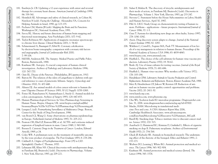- 181. Esselstyn Jr. CB. Updating a 12-year experience with arrest and reversal therapy for coronary heart disease. *American Journal of Cardiology* 1999; 84: 339-341.
- 182. Heimlich HJ. Advantages and safety of clinical research, in Cohen M, Natelson N (eds). *Facing the Challenge.* Alexandria VA, Concern for Helping Animals in Israel, 1990, pp 123-135.
- 183. Pechura CM, Martin JB (eds). *Mapping the Brain and Its Functions.* Washington DC, National Academy Press, 1991.
- 184. Savoy RL. History and future directions of human brain mapping and functional neuroimaging. *Acta Psychologica* 2001; 107: 9-42.
- 185. Taylor-Robinson SD. Applications of magnetic resonance spectroscopy to chronic liver disease. *Clinical Medicine* 2001; 1: 54-60.
- 186. Schmermund A, Baumgart D, Erbel R. Coronary calcification by electron beam tomography: comparison with coronary risk factors and angiography. *Journal of Cardiovascular Risk* 2000; 7: 99-106. 221. Kaufin Committee Animal protection and internet in the science of the science for the science of the science of the science of the science of the science of the science of the science of the science of the science of
	- 187. Hill RB, Anderson RE. *The Autopsy: Medical Practice and Public Policy.* Boston, Butterworth, 1988.
	- 188. Kaufman SR. Autopsy: A crucial component of human clinical investigation. *Archives of Pathology and Laboratory Medicine* 1996; 120: 767-770.
	- 189. Opie EL. *Disease of the Pancreas.* Philadelphia, JB Lippincott, 1910.
	- 190. Barron M. The relation of the islets of Langerhans to diabetes with spe cial reference to cases of pancreatic lithiasis. *Surgery, Gynecology and Obstetrics* 1920; 31: 437-448.
	- 191. Ahnen DJ. Are animal models of colon cancer relevant to human dis ease? *Digestive Diseases & Sciences* 1985; 30 (12 Suppl): 103S-106S.
	- 192. Pories SE, Ramchurren N, Summerhayes I, Steele G. Animal models for colon carcinogenesis. *Archives of Surgery* 1993; 128: 647-653.
	- 193. Human Pharmacological Services: In Vitro Pharmacology Screening in Human Tissue. Biopta, Glasgow, UK. www.biopta.com/upload/file/ bioassays/Biopta%20In%20Vitro%20Pharmacology%20Screening.pdf.
	- 194. Lasagna L (ed). *Postmarketing Surveillance of Multisource Drugs.* Boston, Center for the Study of Drug Development, 1986.
	- 195. van Boxtel CJ, Wang G. Some observations on pharmacoepidemiology in Europe. *Netherlands Journal of Medicine* 1997; 51: 205-212.
	- 196. Pearson OH, Eliel LP, Rawson RW, et al. ACTH- and cortisone-induced regression of lymphoid tumors in man. *Cancer* 1949; 2: 943-945.
	- 197. Boesen E. *Cytotoxic Drugs in the Treatment of Cancer.* London, Edward Arnold, 1969, p 24.
	- 198. Coley WB. A preliminary note on the treatment of inoperable sarcoma by the toxic product of erysipelas. *The Post-Graduate* 1893; 8: 278-286.
	- 199. Caldwell A. *Origins of Psychopharmacology: From CPZ to LSD.* Springfield, Charles C Thomas, 1970.
	- 200. Lehmann HE, Kline NS. Clinical discoveries with antidepressant drugs, in Parnham MJ, Bruinvels J (eds). *Discoveries in Pharmacology,* Volume 1. New York, Elsevier, 1983, pp 209-221.
- 201. Sulser F, Mishra R. The discovery of tricyclic antidepressants and their mode of action, in Parnham MJ, Bruinvels J (eds). *Discoveries in Pharmacology,* Volume 1. New York, Elsevier, 1983, pp 233-247.
- 202. Stevens C. Statement before the House Subcommittee on Labor, Health and Human Services, April 30, 1987.
- 203. Pihl A. UICC Study Group on chemosensitivity testing of human tu mors. Problems – applications – future prospects. *International Journal of Cancer* 1986; 37: 1-5.
- 204. Gura T. Systems for identifying new drugs are often faulty. *Science* 1997; 278: 1041-1042.
- 205. Anon. Drug discovery screen adapts to change. *Journal of the National Cancer Institute* 1990; 82: 1087.
- 206. Waldren C, Correll L, Sognier MA, Puck TT. Measurement of low lev els of x-ray mutagenesis in relation to human disease. *Proceedings of the National Academy of Sciences USA* 1986; 83: 4839-4843.
- 207. www.biopta.com, www.asterand.com.
- 208. Hayflick L. The choice of the cell substrate for human virus vaccine pro duction. *Laboratory Practice* 1970; 19: 58-62.
- 209. Beale AJ. Use of tissue cultures for testing vaccines. *Journal of the Royal Society of Medicine* 1978; 71: 681-686.
- 210. Hayflick L. Human virus vaccines: Why monkey cells? *Science* 1972; 176: 183-184.
- 211. Hendriksen CFM. *Laboratory Animals in Vaccine Production and Control: Replacement, Reduction and Refinement.* Boston, Kluwer Academic Pub, 1988.
- 212. Metz B, Hendricksen CF, Jiskoot W, Kersten GF. Reduction of ani mal use in human vaccine quality control: opportunities and problems. *Vaccine* 2002; 20: 2411-30.
- 213. www.hurelcorp.com.
- 214. www.entelos.com, www.physiome.org.
- 215. Chu WL. Xceleron leads EU microdose programme. *Drugresearcher.com* Jan. 31, 2006. www.drugresearcher.com/news/ng.asp?id=65500.
- 216. Mucke, HAM. Microdosing in translational medi cine: Pros and cons. *A CHA Advances Report* May 2006, Cambridge Healthtech Associates. www.advancesreports. com/ExecSum/Microdosing%20Executive%20Summary\_MG.pdf.
- 217. Bazell RJ. Smoking dogs: Tobacco institute tries to discount cancer stud ies. *Science* 1970; 170: 515.
- 218. Auerbach O, Hammond EC, Kirmian D, Garfinkel L. Effects of cigarette smoking on dogs II. Pulmonary neoplasms. *Archives of Environmental Health* 1970; 21: 754-768.
- 219. Gluck JP, Kubacki SR. Animals in biomedical research: The undermin ing effect of the rhetoric of the besieged. *Ethics and Behavior* 1991; 2: 157-173.
- 220. Weibers DO, Leaning J, White RG. Animal protection and medical sci ence. *The Lancet* 1994; 343: 902-904.
-